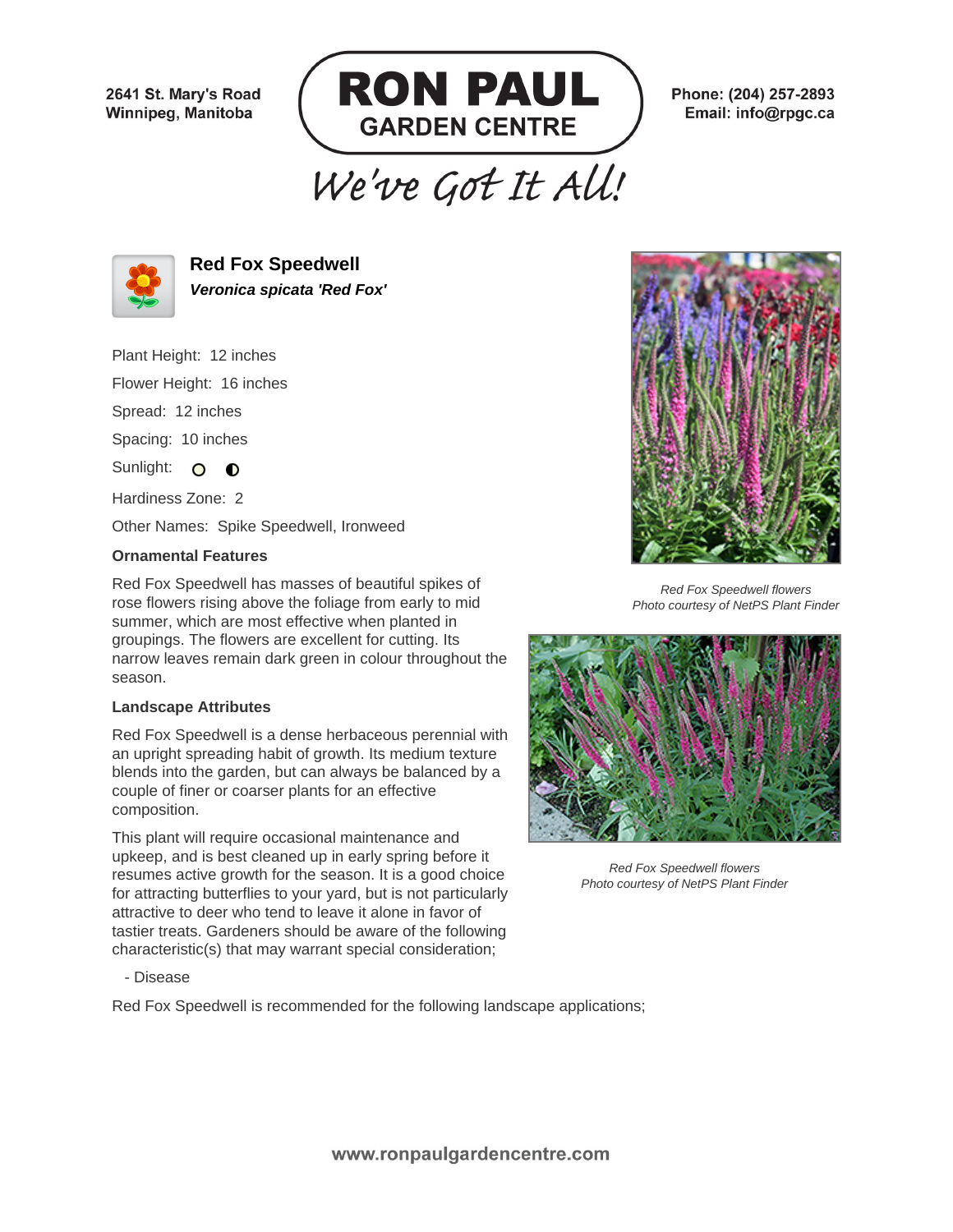2641 St. Mary's Road Winnipeg, Manitoba



Phone: (204) 257-2893 Email: info@rpgc.ca

# We've Got It All!



**Red Fox Speedwell Veronica spicata 'Red Fox'**

Plant Height: 12 inches

Flower Height: 16 inches

Spread: 12 inches

Spacing: 10 inches

Sunlight: O O

Hardiness Zone: 2

Other Names: Spike Speedwell, Ironweed

## **Ornamental Features**

Red Fox Speedwell has masses of beautiful spikes of rose flowers rising above the foliage from early to mid summer, which are most effective when planted in groupings. The flowers are excellent for cutting. Its narrow leaves remain dark green in colour throughout the season.

#### **Landscape Attributes**

Red Fox Speedwell is a dense herbaceous perennial with an upright spreading habit of growth. Its medium texture blends into the garden, but can always be balanced by a couple of finer or coarser plants for an effective composition.

This plant will require occasional maintenance and upkeep, and is best cleaned up in early spring before it resumes active growth for the season. It is a good choice for attracting butterflies to your yard, but is not particularly attractive to deer who tend to leave it alone in favor of tastier treats. Gardeners should be aware of the following characteristic(s) that may warrant special consideration;



Red Fox Speedwell flowers Photo courtesy of NetPS Plant Finder



Red Fox Speedwell flowers Photo courtesy of NetPS Plant Finder

- Disease

Red Fox Speedwell is recommended for the following landscape applications;